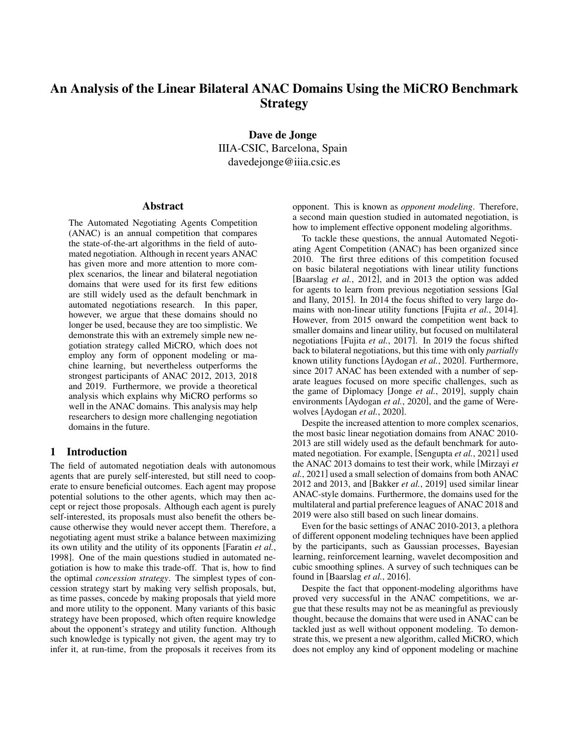# An Analysis of the Linear Bilateral ANAC Domains Using the MiCRO Benchmark **Strategy**

Dave de Jonge IIIA-CSIC, Barcelona, Spain davedejonge@iiia.csic.es

#### Abstract

The Automated Negotiating Agents Competition (ANAC) is an annual competition that compares the state-of-the-art algorithms in the field of automated negotiation. Although in recent years ANAC has given more and more attention to more complex scenarios, the linear and bilateral negotiation domains that were used for its first few editions are still widely used as the default benchmark in automated negotiations research. In this paper, however, we argue that these domains should no longer be used, because they are too simplistic. We demonstrate this with an extremely simple new negotiation strategy called MiCRO, which does not employ any form of opponent modeling or machine learning, but nevertheless outperforms the strongest participants of ANAC 2012, 2013, 2018 and 2019. Furthermore, we provide a theoretical analysis which explains why MiCRO performs so well in the ANAC domains. This analysis may help researchers to design more challenging negotiation domains in the future.

## 1 Introduction

The field of automated negotiation deals with autonomous agents that are purely self-interested, but still need to cooperate to ensure beneficial outcomes. Each agent may propose potential solutions to the other agents, which may then accept or reject those proposals. Although each agent is purely self-interested, its proposals must also benefit the others because otherwise they would never accept them. Therefore, a negotiating agent must strike a balance between maximizing its own utility and the utility of its opponents [\[Faratin](#page-6-0) *et al.*, [1998\]](#page-6-0). One of the main questions studied in automated negotiation is how to make this trade-off. That is, how to find the optimal *concession strategy*. The simplest types of concession strategy start by making very selfish proposals, but, as time passes, concede by making proposals that yield more and more utility to the opponent. Many variants of this basic strategy have been proposed, which often require knowledge about the opponent's strategy and utility function. Although such knowledge is typically not given, the agent may try to infer it, at run-time, from the proposals it receives from its opponent. This is known as *opponent modeling*. Therefore, a second main question studied in automated negotiation, is how to implement effective opponent modeling algorithms.

To tackle these questions, the annual Automated Negotiating Agent Competition (ANAC) has been organized since 2010. The first three editions of this competition focused on basic bilateral negotiations with linear utility functions [\[Baarslag](#page-6-1) *et al.*, 2012], and in 2013 the option was added for agents to learn from previous negotiation sessions [\[Gal](#page-6-2) [and Ilany, 2015\]](#page-6-2). In 2014 the focus shifted to very large domains with non-linear utility functions [Fujita *et al.*[, 2014\]](#page-6-3). However, from 2015 onward the competition went back to smaller domains and linear utility, but focused on multilateral negotiations [Fujita *et al.*[, 2017\]](#page-6-4). In 2019 the focus shifted back to bilateral negotiations, but this time with only *partially* known utility functions [\[Aydogan](#page-6-5) *et al.*, 2020]. Furthermore, since 2017 ANAC has been extended with a number of separate leagues focused on more specific challenges, such as the game of Diplomacy [Jonge *et al.*[, 2019\]](#page-6-6), supply chain environments [\[Aydogan](#page-6-5) *et al.*, 2020], and the game of Werewolves [\[Aydogan](#page-6-5) *et al.*, 2020].

Despite the increased attention to more complex scenarios, the most basic linear negotiation domains from ANAC 2010- 2013 are still widely used as the default benchmark for automated negotiation. For example, [\[Sengupta](#page-6-7) *et al.*, 2021] used the ANAC 2013 domains to test their work, while [\[Mirzayi](#page-6-8) *et al.*[, 2021\]](#page-6-8) used a small selection of domains from both ANAC 2012 and 2013, and [\[Bakker](#page-6-9) *et al.*, 2019] used similar linear ANAC-style domains. Furthermore, the domains used for the multilateral and partial preference leagues of ANAC 2018 and 2019 were also still based on such linear domains.

Even for the basic settings of ANAC 2010-2013, a plethora of different opponent modeling techniques have been applied by the participants, such as Gaussian processes, Bayesian learning, reinforcement learning, wavelet decomposition and cubic smoothing splines. A survey of such techniques can be found in [\[Baarslag](#page-6-10) *et al.*, 2016].

Despite the fact that opponent-modeling algorithms have proved very successful in the ANAC competitions, we argue that these results may not be as meaningful as previously thought, because the domains that were used in ANAC can be tackled just as well without opponent modeling. To demonstrate this, we present a new algorithm, called MiCRO, which does not employ any kind of opponent modeling or machine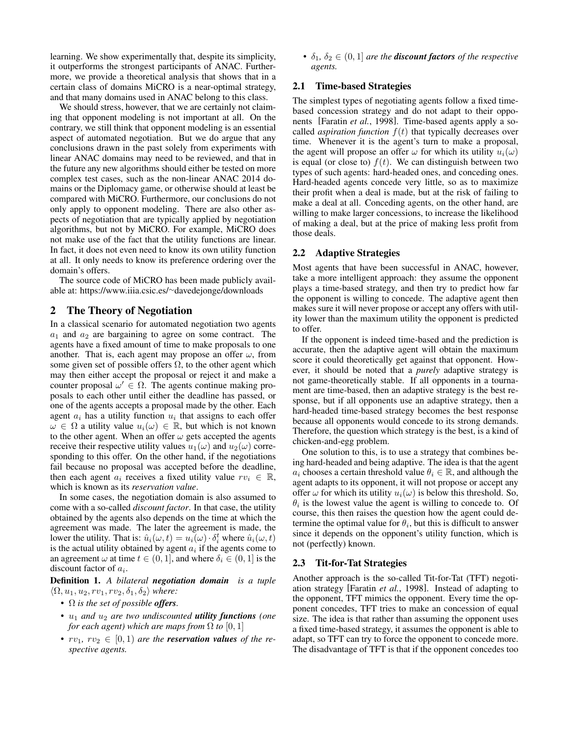learning. We show experimentally that, despite its simplicity, it outperforms the strongest participants of ANAC. Furthermore, we provide a theoretical analysis that shows that in a certain class of domains MiCRO is a near-optimal strategy, and that many domains used in ANAC belong to this class.

We should stress, however, that we are certainly not claiming that opponent modeling is not important at all. On the contrary, we still think that opponent modeling is an essential aspect of automated negotiation. But we do argue that any conclusions drawn in the past solely from experiments with linear ANAC domains may need to be reviewed, and that in the future any new algorithms should either be tested on more complex test cases, such as the non-linear ANAC 2014 domains or the Diplomacy game, or otherwise should at least be compared with MiCRO. Furthermore, our conclusions do not only apply to opponent modeling. There are also other aspects of negotiation that are typically applied by negotiation algorithms, but not by MiCRO. For example, MiCRO does not make use of the fact that the utility functions are linear. In fact, it does not even need to know its own utility function at all. It only needs to know its preference ordering over the domain's offers.

The source code of MiCRO has been made publicly available at: [https://www.iiia.csic.es/](https://www.iiia.csic.es/~davedejonge/downloads)<sup>∼</sup>davedejonge/downloads

# 2 The Theory of Negotiation

In a classical scenario for automated negotiation two agents  $a_1$  and  $a_2$  are bargaining to agree on some contract. The agents have a fixed amount of time to make proposals to one another. That is, each agent may propose an offer  $\omega$ , from some given set of possible offers  $\Omega$ , to the other agent which may then either accept the proposal or reject it and make a counter proposal  $\omega' \in \Omega$ . The agents continue making proposals to each other until either the deadline has passed, or one of the agents accepts a proposal made by the other. Each agent  $a_i$  has a utility function  $u_i$  that assigns to each offer  $\omega \in \Omega$  a utility value  $u_i(\omega) \in \mathbb{R}$ , but which is not known to the other agent. When an offer  $\omega$  gets accepted the agents receive their respective utility values  $u_1(\omega)$  and  $u_2(\omega)$  corresponding to this offer. On the other hand, if the negotiations fail because no proposal was accepted before the deadline, then each agent  $a_i$  receives a fixed utility value  $rv_i \in \mathbb{R}$ , which is known as its *reservation value*.

In some cases, the negotiation domain is also assumed to come with a so-called *discount factor*. In that case, the utility obtained by the agents also depends on the time at which the agreement was made. The later the agreement is made, the lower the utility. That is:  $\hat{u}_i(\omega, t) = u_i(\omega) \cdot \delta_i^t$  where  $\hat{u}_i(\omega, t)$ is the actual utility obtained by agent  $a_i$  if the agents come to an agreement  $\omega$  at time  $t \in (0, 1]$ , and where  $\delta_i \in (0, 1]$  is the discount factor of  $a_i$ .

Definition 1. *A bilateral negotiation domain is a tuple*  $\langle \Omega, u_1, u_2, rv_1, rv_2, \delta_1, \delta_2 \rangle$  *where:* 

- Ω *is the set of possible offers.*
- $u_1$  *and*  $u_2$  *are two undiscounted utility functions (one for each agent) which are maps from*  $\Omega$  *to*  $[0, 1]$
- $rv_1, rv_2 \in [0, 1)$  *are the reservation values of the respective agents.*

•  $\delta_1, \delta_2 \in (0, 1]$  *are the discount factors of the respective agents.*

## 2.1 Time-based Strategies

The simplest types of negotiating agents follow a fixed timebased concession strategy and do not adapt to their opponents [\[Faratin](#page-6-0) *et al.*, 1998]. Time-based agents apply a socalled *aspiration function*  $f(t)$  that typically decreases over time. Whenever it is the agent's turn to make a proposal, the agent will propose an offer  $\omega$  for which its utility  $u_i(\omega)$ is equal (or close to)  $f(t)$ . We can distinguish between two types of such agents: hard-headed ones, and conceding ones. Hard-headed agents concede very little, so as to maximize their profit when a deal is made, but at the risk of failing to make a deal at all. Conceding agents, on the other hand, are willing to make larger concessions, to increase the likelihood of making a deal, but at the price of making less profit from those deals.

## <span id="page-1-0"></span>2.2 Adaptive Strategies

Most agents that have been successful in ANAC, however, take a more intelligent approach: they assume the opponent plays a time-based strategy, and then try to predict how far the opponent is willing to concede. The adaptive agent then makes sure it will never propose or accept any offers with utility lower than the maximum utility the opponent is predicted to offer.

If the opponent is indeed time-based and the prediction is accurate, then the adaptive agent will obtain the maximum score it could theoretically get against that opponent. However, it should be noted that a *purely* adaptive strategy is not game-theoretically stable. If all opponents in a tournament are time-based, then an adaptive strategy is the best response, but if all opponents use an adaptive strategy, then a hard-headed time-based strategy becomes the best response because all opponents would concede to its strong demands. Therefore, the question which strategy is the best, is a kind of chicken-and-egg problem.

One solution to this, is to use a strategy that combines being hard-headed and being adaptive. The idea is that the agent  $a_i$  chooses a certain threshold value  $\theta_i \in \mathbb{R}$ , and although the agent adapts to its opponent, it will not propose or accept any offer  $\omega$  for which its utility  $u_i(\omega)$  is below this threshold. So,  $\theta_i$  is the lowest value the agent is willing to concede to. Of course, this then raises the question how the agent could determine the optimal value for  $\theta_i$ , but this is difficult to answer since it depends on the opponent's utility function, which is not (perfectly) known.

#### 2.3 Tit-for-Tat Strategies

Another approach is the so-called Tit-for-Tat (TFT) negotiation strategy [\[Faratin](#page-6-0) *et al.*, 1998]. Instead of adapting to the opponent, TFT mimics the opponent. Every time the opponent concedes, TFT tries to make an concession of equal size. The idea is that rather than assuming the opponent uses a fixed time-based strategy, it assumes the opponent is able to adapt, so TFT can try to force the opponent to concede more. The disadvantage of TFT is that if the opponent concedes too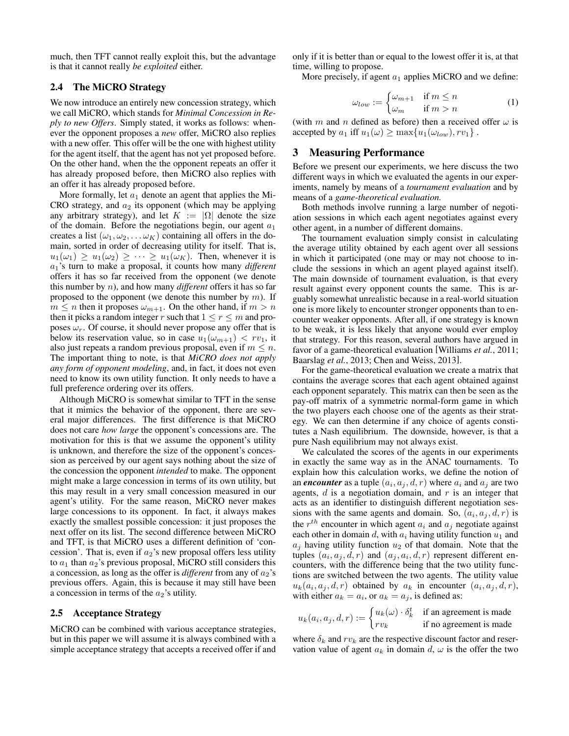much, then TFT cannot really exploit this, but the advantage is that it cannot really *be exploited* either.

## 2.4 The MiCRO Strategy

We now introduce an entirely new concession strategy, which we call MiCRO, which stands for *Minimal Concession in Reply to new Offers*. Simply stated, it works as follows: whenever the opponent proposes a *new* offer, MiCRO also replies with a new offer. This offer will be the one with highest utility for the agent itself, that the agent has not yet proposed before. On the other hand, when the the opponent repeats an offer it has already proposed before, then MiCRO also replies with an offer it has already proposed before.

More formally, let  $a_1$  denote an agent that applies the Mi-CRO strategy, and  $a_2$  its opponent (which may be applying any arbitrary strategy), and let  $K := |\Omega|$  denote the size of the domain. Before the negotiations begin, our agent  $a_1$ creates a list  $(\omega_1, \omega_2, \dots \omega_K)$  containing all offers in the domain, sorted in order of decreasing utility for itself. That is,  $u_1(\omega_1) \geq u_1(\omega_2) \geq \cdots \geq u_1(\omega_K)$ . Then, whenever it is  $a_1$ 's turn to make a proposal, it counts how many *different* offers it has so far received from the opponent (we denote this number by n), and how many *different* offers it has so far proposed to the opponent (we denote this number by  $m$ ). If  $m \leq n$  then it proposes  $\omega_{m+1}$ . On the other hand, if  $m > n$ then it picks a random integer r such that  $1 \le r \le m$  and proposes  $\omega_r$ . Of course, it should never propose any offer that is below its reservation value, so in case  $u_1(\omega_{m+1}) < rv_1$ , it also just repeats a random previous proposal, even if  $m \leq n$ . The important thing to note, is that *MiCRO does not apply any form of opponent modeling*, and, in fact, it does not even need to know its own utility function. It only needs to have a full preference ordering over its offers.

Although MiCRO is somewhat similar to TFT in the sense that it mimics the behavior of the opponent, there are several major differences. The first difference is that MiCRO does not care *how large* the opponent's concessions are. The motivation for this is that we assume the opponent's utility is unknown, and therefore the size of the opponent's concession as perceived by our agent says nothing about the size of the concession the opponent *intended* to make. The opponent might make a large concession in terms of its own utility, but this may result in a very small concession measured in our agent's utility. For the same reason, MiCRO never makes large concessions to its opponent. In fact, it always makes exactly the smallest possible concession: it just proposes the next offer on its list. The second difference between MiCRO and TFT, is that MiCRO uses a different definition of 'concession'. That is, even if  $a_2$ 's new proposal offers less utility to  $a_1$  than  $a_2$ 's previous proposal, MiCRO still considers this a concession, as long as the offer is *different* from any of  $a_2$ 's previous offers. Again, this is because it may still have been a concession in terms of the  $a_2$ 's utility.

## 2.5 Acceptance Strategy

MiCRO can be combined with various acceptance strategies, but in this paper we will assume it is always combined with a simple acceptance strategy that accepts a received offer if and only if it is better than or equal to the lowest offer it is, at that time, willing to propose.

More precisely, if agent  $a_1$  applies MiCRO and we define:

$$
\omega_{low} := \begin{cases} \omega_{m+1} & \text{if } m \le n \\ \omega_m & \text{if } m > n \end{cases}
$$
 (1)

(with m and n defined as before) then a received offer  $\omega$  is accepted by  $a_1$  iff  $u_1(\omega) \ge \max\{u_1(\omega_{low}), rv_1\}$ .

## 3 Measuring Performance

Before we present our experiments, we here discuss the two different ways in which we evaluated the agents in our experiments, namely by means of a *tournament evaluation* and by means of a *game-theoretical evaluation.*

Both methods involve running a large number of negotiation sessions in which each agent negotiates against every other agent, in a number of different domains.

The tournament evaluation simply consist in calculating the average utility obtained by each agent over all sessions in which it participated (one may or may not choose to include the sessions in which an agent played against itself). The main downside of tournament evaluation, is that every result against every opponent counts the same. This is arguably somewhat unrealistic because in a real-world situation one is more likely to encounter stronger opponents than to encounter weaker opponents. After all, if one strategy is known to be weak, it is less likely that anyone would ever employ that strategy. For this reason, several authors have argued in favor of a game-theoretical evaluation [\[Williams](#page-6-11) *et al.*, 2011; [Baarslag](#page-6-12) *et al.*, 2013; [Chen and Weiss, 2013\]](#page-6-13).

For the game-theoretical evaluation we create a matrix that contains the average scores that each agent obtained against each opponent separately. This matrix can then be seen as the pay-off matrix of a symmetric normal-form game in which the two players each choose one of the agents as their strategy. We can then determine if any choice of agents constitutes a Nash equilibrium. The downside, however, is that a pure Nash equilibrium may not always exist.

We calculated the scores of the agents in our experiments in exactly the same way as in the ANAC tournaments. To explain how this calculation works, we define the notion of an *encounter* as a tuple  $(a_i, a_j, d, r)$  where  $a_i$  and  $a_j$  are two agents,  $d$  is a negotiation domain, and  $r$  is an integer that acts as an identifier to distinguish different negotiation sessions with the same agents and domain. So,  $(a_i, a_j, d, r)$  is the  $r^{th}$  encounter in which agent  $a_i$  and  $a_j$  negotiate against each other in domain d, with  $a_i$  having utility function  $u_1$  and  $a_i$  having utility function  $u_2$  of that domain. Note that the tuples  $(a_i, a_j, d, r)$  and  $(a_j, a_i, d, r)$  represent different encounters, with the difference being that the two utility functions are switched between the two agents. The utility value  $u_k(a_i, a_j, d, r)$  obtained by  $a_k$  in encounter  $(a_i, a_j, d, r)$ , with either  $a_k = a_i$ , or  $a_k = a_j$ , is defined as:

$$
u_k(a_i,a_j,d,r):=\begin{cases} u_k(\omega)\cdot \delta_k^t & \text{if an agreement is made} \\ rv_k & \text{if no agreement is made} \end{cases}
$$

where  $\delta_k$  and  $rv_k$  are the respective discount factor and reservation value of agent  $a_k$  in domain d,  $\omega$  is the offer the two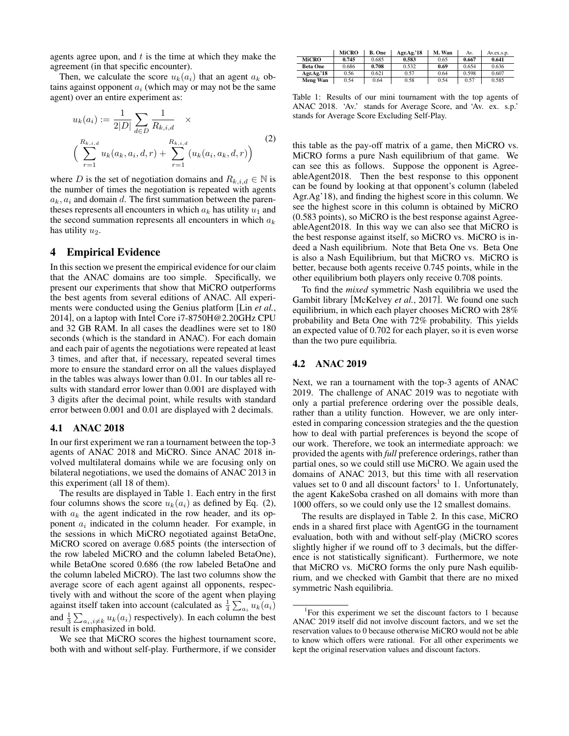agents agree upon, and  $t$  is the time at which they make the agreement (in that specific encounter).

Then, we calculate the score  $u_k(a_i)$  that an agent  $a_k$  obtains against opponent  $a_i$  (which may or may not be the same agent) over an entire experiment as:

$$
u_k(a_i) := \frac{1}{2|D|} \sum_{d \in D} \frac{1}{R_{k,i,d}} \times
$$
  

$$
\left( \sum_{r=1}^{R_{k,i,d}} u_k(a_k, a_i, d, r) + \sum_{r=1}^{R_{k,i,d}} (u_k(a_i, a_k, d, r)) \right)
$$
 (2)

where D is the set of negotiation domains and  $R_{k,i,d} \in \mathbb{N}$  is the number of times the negotiation is repeated with agents  $a_k$ ,  $a_i$  and domain d. The first summation between the parentheses represents all encounters in which  $a_k$  has utility  $u_1$  and the second summation represents all encounters in which  $a_k$ has utility  $u_2$ .

## 4 Empirical Evidence

In this section we present the empirical evidence for our claim that the ANAC domains are too simple. Specifically, we present our experiments that show that MiCRO outperforms the best agents from several editions of ANAC. All experiments were conducted using the Genius platform [Lin *[et al.](#page-6-14)*, [2014\]](#page-6-14), on a laptop with Intel Core i7-8750H@2.20GHz CPU and 32 GB RAM. In all cases the deadlines were set to 180 seconds (which is the standard in ANAC). For each domain and each pair of agents the negotiations were repeated at least 3 times, and after that, if necessary, repeated several times more to ensure the standard error on all the values displayed in the tables was always lower than 0.01. In our tables all results with standard error lower than 0.001 are displayed with 3 digits after the decimal point, while results with standard error between 0.001 and 0.01 are displayed with 2 decimals.

#### 4.1 ANAC 2018

In our first experiment we ran a tournament between the top-3 agents of ANAC 2018 and MiCRO. Since ANAC 2018 involved multilateral domains while we are focusing only on bilateral negotiations, we used the domains of ANAC 2013 in this experiment (all 18 of them).

The results are displayed in Table [1.](#page-3-0) Each entry in the first four columns shows the score  $u_k(a_i)$  as defined by Eq. [\(2\)](#page-3-1), with  $a_k$  the agent indicated in the row header, and its opponent  $a_i$  indicated in the column header. For example, in the sessions in which MiCRO negotiated against BetaOne, MiCRO scored on average 0.685 points (the intersection of the row labeled MiCRO and the column labeled BetaOne), while BetaOne scored 0.686 (the row labeled BetaOne and the column labeled MiCRO). The last two columns show the average score of each agent against all opponents, respectively with and without the score of the agent when playing against itself taken into account (calculated as  $\frac{1}{4} \sum_{a_i} u_k(a_i)$ and  $\frac{1}{3} \sum_{a_i, i \neq k} u_k(a_i)$  respectively). In each column the best result is emphasized in bold.

We see that MiCRO scores the highest tournament score, both with and without self-play. Furthermore, if we consider

<span id="page-3-0"></span>

|                 | <b>MiCRO</b> | <b>B.</b> One | Agr.Ag.'18 | M. Wan | Av.   | Av.ex.s.p. |
|-----------------|--------------|---------------|------------|--------|-------|------------|
| <b>MiCRO</b>    | 0.745        | 0.685         | 0.583      | 0.65   | 0.667 | 0.641      |
| <b>Beta One</b> | 0.686        | 0.708         | 0.532      | 0.69   | 0.654 | 0.636      |
| Agr.Ag.'18      | 0.56         | 0.621         | 0.57       | 0.64   | 0.598 | 0.607      |
| Meng Wan        | 0.54         | 0.64          | 0.58       | 0.54   | 0.57  | 0.585      |

<span id="page-3-1"></span>Table 1: Results of our mini tournament with the top agents of ANAC 2018. 'Av.' stands for Average Score, and 'Av. ex. s.p.' stands for Average Score Excluding Self-Play.

this table as the pay-off matrix of a game, then MiCRO vs. MiCRO forms a pure Nash equilibrium of that game. We can see this as follows. Suppose the opponent is AgreeableAgent2018. Then the best response to this opponent can be found by looking at that opponent's column (labeled Agr.Ag'18), and finding the highest score in this column. We see the highest score in this column is obtained by MiCRO (0.583 points), so MiCRO is the best response against AgreeableAgent2018. In this way we can also see that MiCRO is the best response against itself, so MiCRO vs. MiCRO is indeed a Nash equilibrium. Note that Beta One vs. Beta One is also a Nash Equilibrium, but that MiCRO vs. MiCRO is better, because both agents receive 0.745 points, while in the other equilibrium both players only receive 0.708 points.

To find the *mixed* symmetric Nash equilibria we used the Gambit library [\[McKelvey](#page-6-15) *et al.*, 2017]. We found one such equilibrium, in which each player chooses MiCRO with 28% probability and Beta One with 72% probability. This yields an expected value of 0.702 for each player, so it is even worse than the two pure equilibria.

## 4.2 ANAC 2019

Next, we ran a tournament with the top-3 agents of ANAC 2019. The challenge of ANAC 2019 was to negotiate with only a partial preference ordering over the possible deals, rather than a utility function. However, we are only interested in comparing concession strategies and the the question how to deal with partial preferences is beyond the scope of our work. Therefore, we took an intermediate approach: we provided the agents with *full* preference orderings, rather than partial ones, so we could still use MiCRO. We again used the domains of ANAC 2013, but this time with all reservation values set to 0 and all discount factors<sup>[1](#page-3-2)</sup> to 1. Unfortunately, the agent KakeSoba crashed on all domains with more than 1000 offers, so we could only use the 12 smallest domains.

The results are displayed in Table [2.](#page-4-0) In this case, MiCRO ends in a shared first place with AgentGG in the tournament evaluation, both with and without self-play (MiCRO scores slightly higher if we round off to 3 decimals, but the difference is not statistically significant). Furthermore, we note that MiCRO vs. MiCRO forms the only pure Nash equilibrium, and we checked with Gambit that there are no mixed symmetric Nash equilibria.

<span id="page-3-2"></span><sup>&</sup>lt;sup>1</sup>For this experiment we set the discount factors to 1 because ANAC 2019 itself did not involve discount factors, and we set the reservation values to 0 because otherwise MiCRO would not be able to know which offers were rational. For all other experiments we kept the original reservation values and discount factors.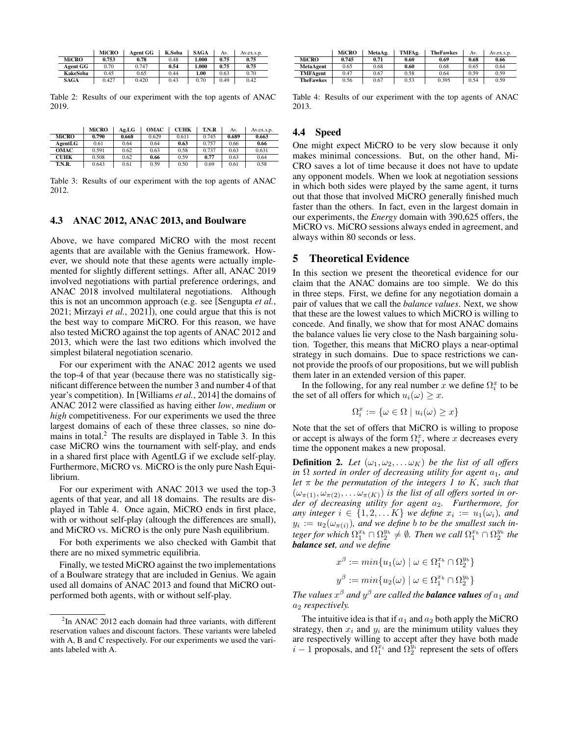<span id="page-4-0"></span>

|                 | <b>MiCRO</b> | <b>Agent GG</b> | K.Soba | <b>SAGA</b> | Av.  | Av.ex.s.p. |
|-----------------|--------------|-----------------|--------|-------------|------|------------|
| MiCRO           | 0.753        | 0.78            | 0.48   | 1.000       | 0.75 | 0.75       |
| <b>Agent GG</b> | 0.70         | 0.747           | 0.54   | 1.000       | 0.75 | 0.75       |
| <b>KakeSoba</b> | 0.45         | 0.65            | 0.44   | 1.00        | 0.63 | 0.70       |
| <b>SAGA</b>     | 0.427        | 0.420           | 0.43   | 0.70        | 0.49 | 0.42       |
|                 |              |                 |        |             |      |            |

Table 2: Results of our experiment with the top agents of ANAC 2019.

<span id="page-4-2"></span>

|              | <b>MiCRO</b> | Ag.LG | <b>OMAC</b> | <b>CUHK</b> | T.N.R | Av.   | Av.ex.s.p. |
|--------------|--------------|-------|-------------|-------------|-------|-------|------------|
| <b>MiCRO</b> | 0.790        | 0.668 | 0.629       | 0.611       | 0.745 | 0.689 | 0.663      |
| AgentLG      | 0.61         | 0.64  | 0.64        | 0.63        | 0.757 | 0.66  | 0.66       |
| <b>OMAC</b>  | 0.591        | 0.62  | 0.63        | 0.58        | 0.737 | 0.63  | 0.631      |
| <b>CUHK</b>  | 0.508        | 0.62  | 0.66        | 0.59        | 0.77  | 0.63  | 0.64       |
| T.N.R.       | 0.643        | 0.61  | 0.59        | 0.50        | 0.69  | 0.61  | 0.58       |

Table 3: Results of our experiment with the top agents of ANAC 2012.

#### 4.3 ANAC 2012, ANAC 2013, and Boulware

Above, we have compared MiCRO with the most recent agents that are available with the Genius framework. However, we should note that these agents were actually implemented for slightly different settings. After all, ANAC 2019 involved negotiations with partial preference orderings, and ANAC 2018 involved multilateral negotiations. Although this is not an uncommon approach (e.g. see [\[Sengupta](#page-6-7) *et al.*, [2021;](#page-6-7) [Mirzayi](#page-6-8) *et al.*, 2021]), one could argue that this is not the best way to compare MiCRO. For this reason, we have also tested MiCRO against the top agents of ANAC 2012 and 2013, which were the last two editions which involved the simplest bilateral negotiation scenario.

For our experiment with the ANAC 2012 agents we used the top-4 of that year (because there was no statistically significant difference between the number 3 and number 4 of that year's competition). In [\[Williams](#page-6-16) *et al.*, 2014] the domains of ANAC 2012 were classified as having either *low*, *medium* or *high* competitiveness. For our experiments we used the three largest domains of each of these three classes, so nine do-mains in total.<sup>[2](#page-4-1)</sup> The results are displayed in Table [3.](#page-4-2) In this case MiCRO wins the tournament with self-play, and ends in a shared first place with AgentLG if we exclude self-play. Furthermore, MiCRO vs. MiCRO is the only pure Nash Equilibrium.

For our experiment with ANAC 2013 we used the top-3 agents of that year, and all 18 domains. The results are displayed in Table [4.](#page-4-3) Once again, MiCRO ends in first place, with or without self-play (altough the differences are small), and MiCRO vs. MiCRO is the only pure Nash equilibrium.

For both experiments we also checked with Gambit that there are no mixed symmetric equilibria.

Finally, we tested MiCRO against the two implementations of a Boulware strategy that are included in Genius. We again used all domains of ANAC 2013 and found that MiCRO outperformed both agents, with or without self-play.

<span id="page-4-3"></span>

|                  | <b>MiCRO</b> | MetaAg. | TMFAg. | <b>TheFawkes</b> | Av.  | Av.ex.s.p. |
|------------------|--------------|---------|--------|------------------|------|------------|
| <b>MiCRO</b>     | 0.745        | 0.71    | 0.60   | 0.69             | 0.68 | 0.66       |
| MetaAgent        | 0.65         | 0.68    | 0.60   | 0.68             | 0.65 | 0.64       |
| TMFAgent         | 0.47         | 0.67    | 0.58   | 0.64             | 0.59 | 0.59       |
| <b>TheFawkes</b> | 0.56         | 0.67    | 0.53   | 0.395            | 0.54 | 0.59       |

Table 4: Results of our experiment with the top agents of ANAC 2013.

#### 4.4 Speed

One might expect MiCRO to be very slow because it only makes minimal concessions. But, on the other hand, Mi-CRO saves a lot of time because it does not have to update any opponent models. When we look at negotiation sessions in which both sides were played by the same agent, it turns out that those that involved MiCRO generally finished much faster than the others. In fact, even in the largest domain in our experiments, the *Energy* domain with 390,625 offers, the MiCRO vs. MiCRO sessions always ended in agreement, and always within 80 seconds or less.

#### 5 Theoretical Evidence

In this section we present the theoretical evidence for our claim that the ANAC domains are too simple. We do this in three steps. First, we define for any negotiation domain a pair of values that we call the *balance values*. Next, we show that these are the lowest values to which MiCRO is willing to concede. And finally, we show that for most ANAC domains the balance values lie very close to the Nash bargaining solution. Together, this means that MiCRO plays a near-optimal strategy in such domains. Due to space restrictions we cannot provide the proofs of our propositions, but we will publish them later in an extended version of this paper.

In the following, for any real number x we define  $\Omega_i^x$  to be the set of all offers for which  $u_i(\omega) \geq x$ .

$$
\Omega_i^x:=\{\omega\in\Omega\mid u_i(\omega)\geq x\}
$$

Note that the set of offers that MiCRO is willing to propose or accept is always of the form  $\Omega_i^x$ , where x decreases every time the opponent makes a new proposal.

**Definition 2.** Let  $(\omega_1, \omega_2, \ldots \omega_K)$  be the list of all offers *in*  $\Omega$  *sorted in order of decreasing utility for agent*  $a_1$ *, and let* π *be the permutation of the integers 1 to* K*, such that*  $(\omega_{\pi(1)}, \omega_{\pi(2)}, \ldots \omega_{\pi(K)})$  *is the list of all offers sorted in order of decreasing utility for agent* a2*. Furthermore, for any integer*  $i \in \{1, 2, \ldots K\}$  *we define*  $x_i := u_1(\omega_i)$ *, and*  $y_i := u_2(\omega_{\pi(i)})$ , and we define *b* to be the smallest such in*teger for which*  $\Omega_1^{x_b} \cap \Omega_2^{y_b} \neq \emptyset$ . *Then we call*  $\Omega_1^{x_b} \cap \Omega_2^{y_b}$  the *balance set, and we define*

$$
x^{\beta} := \min\{u_1(\omega) \mid \omega \in \Omega_1^{x_b} \cap \Omega_2^{y_b}\}
$$
  

$$
y^{\beta} := \min\{u_2(\omega) \mid \omega \in \Omega_1^{x_b} \cap \Omega_2^{y_b}\}
$$

The values  $x^{\beta}$  and  $y^{\beta}$  are called the **balance values** of  $a_1$  and  $a_2$  *respectively.* 

The intuitive idea is that if  $a_1$  and  $a_2$  both apply the MiCRO strategy, then  $x_i$  and  $y_i$  are the minimum utility values they are respectively willing to accept after they have both made  $i-1$  proposals, and  $\Omega_1^{\bar{x}_i}$  and  $\Omega_2^{\bar{y}_i}$  represent the sets of offers

<span id="page-4-1"></span> $2$ In ANAC 2012 each domain had three variants, with different reservation values and discount factors. These variants were labeled with A, B and C respectively. For our experiments we used the variants labeled with A.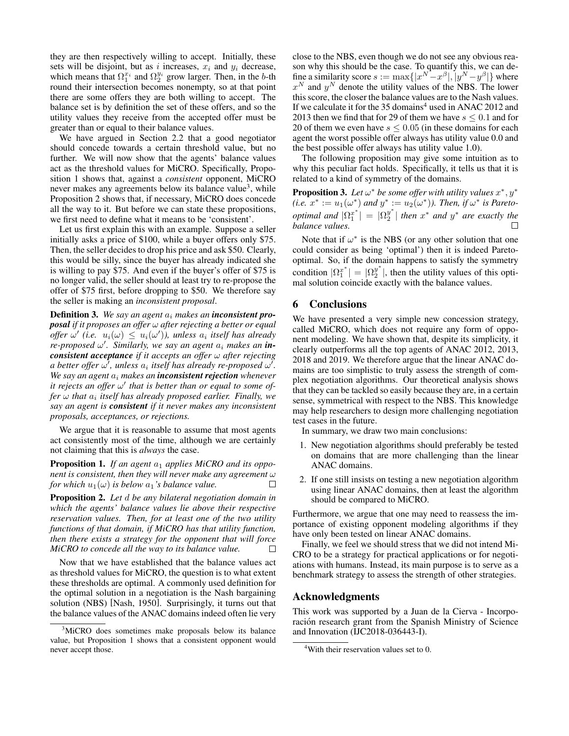they are then respectively willing to accept. Initially, these sets will be disjoint, but as i increases,  $x_i$  and  $y_i$  decrease, which means that  $\Omega_1^{x_i}$  and  $\Omega_2^{y_i}$  grow larger. Then, in the b-th round their intersection becomes nonempty, so at that point there are some offers they are both willing to accept. The balance set is by definition the set of these offers, and so the utility values they receive from the accepted offer must be greater than or equal to their balance values.

We have argued in Section [2.2](#page-1-0) that a good negotiator should concede towards a certain threshold value, but no further. We will now show that the agents' balance values act as the threshold values for MiCRO. Specifically, Proposition [1](#page-5-0) shows that, against a *consistent* opponent, MiCRO never makes any agreements below its balance value<sup>[3](#page-5-1)</sup>, while Proposition [2](#page-5-2) shows that, if necessary, MiCRO does concede all the way to it. But before we can state these propositions, we first need to define what it means to be 'consistent'.

Let us first explain this with an example. Suppose a seller initially asks a price of \$100, while a buyer offers only \$75. Then, the seller decides to drop his price and ask \$50. Clearly, this would be silly, since the buyer has already indicated she is willing to pay \$75. And even if the buyer's offer of \$75 is no longer valid, the seller should at least try to re-propose the offer of \$75 first, before dropping to \$50. We therefore say the seller is making an *inconsistent proposal*.

Definition 3. *We say an agent* a<sup>i</sup> *makes an inconsistent proposal if it proposes an offer* ω *after rejecting a better or equal offer*  $\omega'$  (*i.e.*  $u_i(\omega) \leq u_i(\omega')$ ), unless  $a_i$  itself has already *re-proposed* ω 0 *. Similarly, we say an agent* a<sup>i</sup> *makes an inconsistent acceptance if it accepts an offer* ω *after rejecting* a better offer  $\omega'$ , unless  $a_i$  itself has already re-proposed  $\omega'$ . *We say an agent* a<sup>i</sup> *makes an inconsistent rejection whenever it rejects an offer*  $ω'$  *that is better than or equal to some of*fer ω that  $a_i$  itself has already proposed earlier. Finally, we *say an agent is consistent if it never makes any inconsistent proposals, acceptances, or rejections.*

We argue that it is reasonable to assume that most agents act consistently most of the time, although we are certainly not claiming that this is *always* the case.

<span id="page-5-0"></span>Proposition 1. If an agent  $a_1$  applies MiCRO and its oppo*nent is consistent, then they will never make any agreement* ω *for which*  $u_1(\omega)$  *is below*  $a_1$ *'s balance value.*  $\Box$ 

<span id="page-5-2"></span>Proposition 2. *Let* d *be any bilateral negotiation domain in which the agents' balance values lie above their respective reservation values. Then, for at least one of the two utility functions of that domain, if MiCRO has that utility function, then there exists a strategy for the opponent that will force MiCRO to concede all the way to its balance value.*  $\Box$ 

Now that we have established that the balance values act as threshold values for MiCRO, the question is to what extent these thresholds are optimal. A commonly used definition for the optimal solution in a negotiation is the Nash bargaining solution (NBS) [\[Nash, 1950\]](#page-6-17). Surprisingly, it turns out that the balance values of the ANAC domains indeed often lie very close to the NBS, even though we do not see any obvious reason why this should be the case. To quantify this, we can define a similarity score  $s := \max\{|x^N - x^\beta|, |y^N - y^\beta|\}$  where  $x^N$  and  $y^N$  denote the utility values of the NBS. The lower this score, the closer the balance values are to the Nash values. If we calculate it for the  $35$  domains<sup>[4](#page-5-3)</sup> used in ANAC 2012 and 2013 then we find that for 29 of them we have  $s \leq 0.1$  and for 20 of them we even have  $s \leq 0.05$  (in these domains for each agent the worst possible offer always has utility value 0.0 and the best possible offer always has utility value 1.0).

The following proposition may give some intuition as to why this peculiar fact holds. Specifically, it tells us that it is related to a kind of symmetry of the domains.

**Proposition 3.** Let  $\omega^*$  be some offer with utility values  $x^*, y^*$  $(i.e. x^* := u_1(\omega^*)$  and  $y^* := u_2(\omega^*))$ . Then, if  $\omega^*$  is Pareto*optimal and*  $|\Omega_1^{x^*}| = |\Omega_2^{y^*}|$  $\frac{y^*}{2}$  | then  $x^*$  *and*  $y^*$  *are exactly the balance values.*

Note that if  $\omega^*$  is the NBS (or any other solution that one could consider as being 'optimal') then it is indeed Paretooptimal. So, if the domain happens to satisfy the symmetry condition  $|\Omega_1^{x^*}| = |\Omega_2^{y^*}|$  $\frac{y}{2}$ , then the utility values of this optimal solution coincide exactly with the balance values.

# 6 Conclusions

We have presented a very simple new concession strategy, called MiCRO, which does not require any form of opponent modeling. We have shown that, despite its simplicity, it clearly outperforms all the top agents of ANAC 2012, 2013, 2018 and 2019. We therefore argue that the linear ANAC domains are too simplistic to truly assess the strength of complex negotiation algorithms. Our theoretical analysis shows that they can be tackled so easily because they are, in a certain sense, symmetrical with respect to the NBS. This knowledge may help researchers to design more challenging negotiation test cases in the future.

In summary, we draw two main conclusions:

- 1. New negotiation algorithms should preferably be tested on domains that are more challenging than the linear ANAC domains.
- 2. If one still insists on testing a new negotiation algorithm using linear ANAC domains, then at least the algorithm should be compared to MiCRO.

Furthermore, we argue that one may need to reassess the importance of existing opponent modeling algorithms if they have only been tested on linear ANAC domains.

Finally, we feel we should stress that we did not intend Mi-CRO to be a strategy for practical applications or for negotiations with humans. Instead, its main purpose is to serve as a benchmark strategy to assess the strength of other strategies.

# Acknowledgments

This work was supported by a Juan de la Cierva - Incorporación research grant from the Spanish Ministry of Science and Innovation (IJC2018-036443-I).

<span id="page-5-1"></span><sup>&</sup>lt;sup>3</sup>MiCRO does sometimes make proposals below its balance value, but Proposition [1](#page-5-0) shows that a consistent opponent would never accept those.

<span id="page-5-3"></span><sup>&</sup>lt;sup>4</sup>With their reservation values set to 0.